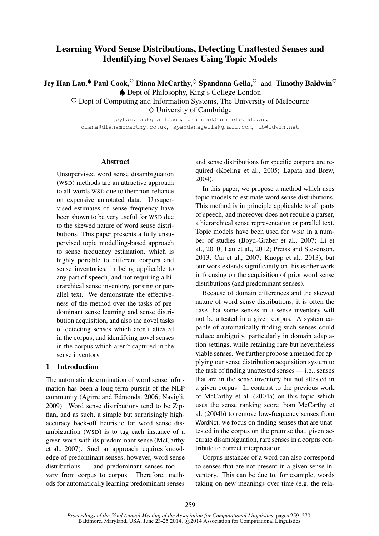# Learning Word Sense Distributions, Detecting Unattested Senses and Identifying Novel Senses Using Topic Models

Jey Han Lau,<sup> $\spadesuit$ </sup> Paul Cook, $\heartsuit$  Diana McCarthy, $\heartsuit$  Spandana Gella, $\heartsuit$  and Timothy Baldwin $\heartsuit$ ♠ Dept of Philosophy, King's College London

 $\heartsuit$  Dept of Computing and Information Systems, The University of Melbourne  $\diamond$  University of Cambridge

jeyhan.lau@gmail.com, paulcook@unimelb.edu.au, diana@dianamccarthy.co.uk, spandanagella@gmail.com, tb@ldwin.net

# Abstract

Unsupervised word sense disambiguation (WSD) methods are an attractive approach to all-words WSD due to their non-reliance on expensive annotated data. Unsupervised estimates of sense frequency have been shown to be very useful for WSD due to the skewed nature of word sense distributions. This paper presents a fully unsupervised topic modelling-based approach to sense frequency estimation, which is highly portable to different corpora and sense inventories, in being applicable to any part of speech, and not requiring a hierarchical sense inventory, parsing or parallel text. We demonstrate the effectiveness of the method over the tasks of predominant sense learning and sense distribution acquisition, and also the novel tasks of detecting senses which aren't attested in the corpus, and identifying novel senses in the corpus which aren't captured in the sense inventory.

# 1 Introduction

The automatic determination of word sense information has been a long-term pursuit of the NLP community (Agirre and Edmonds, 2006; Navigli, 2009). Word sense distributions tend to be Zipfian, and as such, a simple but surprisingly highaccuracy back-off heuristic for word sense disambiguation (WSD) is to tag each instance of a given word with its predominant sense (McCarthy et al., 2007). Such an approach requires knowledge of predominant senses; however, word sense distributions — and predominant senses too vary from corpus to corpus. Therefore, methods for automatically learning predominant senses and sense distributions for specific corpora are required (Koeling et al., 2005; Lapata and Brew, 2004).

In this paper, we propose a method which uses topic models to estimate word sense distributions. This method is in principle applicable to all parts of speech, and moreover does not require a parser, a hierarchical sense representation or parallel text. Topic models have been used for WSD in a number of studies (Boyd-Graber et al., 2007; Li et al., 2010; Lau et al., 2012; Preiss and Stevenson, 2013; Cai et al., 2007; Knopp et al., 2013), but our work extends significantly on this earlier work in focusing on the acquisition of prior word sense distributions (and predominant senses).

Because of domain differences and the skewed nature of word sense distributions, it is often the case that some senses in a sense inventory will not be attested in a given corpus. A system capable of automatically finding such senses could reduce ambiguity, particularly in domain adaptation settings, while retaining rare but nevertheless viable senses. We further propose a method for applying our sense distribution acquisition system to the task of finding unattested senses — i.e., senses that are in the sense inventory but not attested in a given corpus. In contrast to the previous work of McCarthy et al. (2004a) on this topic which uses the sense ranking score from McCarthy et al. (2004b) to remove low-frequency senses from WordNet, we focus on finding senses that are unattested in the corpus on the premise that, given accurate disambiguation, rare senses in a corpus contribute to correct interpretation.

Corpus instances of a word can also correspond to senses that are not present in a given sense inventory. This can be due to, for example, words taking on new meanings over time (e.g. the rela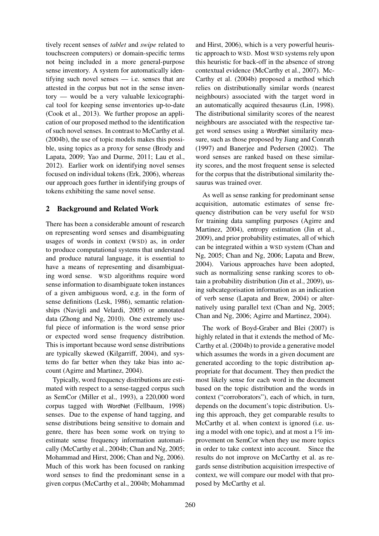tively recent senses of *tablet* and *swipe* related to touchscreen computers) or domain-specific terms not being included in a more general-purpose sense inventory. A system for automatically identifying such novel senses — i.e. senses that are attested in the corpus but not in the sense inventory — would be a very valuable lexicographical tool for keeping sense inventories up-to-date (Cook et al., 2013). We further propose an application of our proposed method to the identification of such novel senses. In contrast to McCarthy et al. (2004b), the use of topic models makes this possible, using topics as a proxy for sense (Brody and Lapata, 2009; Yao and Durme, 2011; Lau et al., 2012). Earlier work on identifying novel senses focused on individual tokens (Erk, 2006), whereas our approach goes further in identifying groups of tokens exhibiting the same novel sense.

# 2 Background and Related Work

There has been a considerable amount of research on representing word senses and disambiguating usages of words in context (WSD) as, in order to produce computational systems that understand and produce natural language, it is essential to have a means of representing and disambiguating word sense. WSD algorithms require word sense information to disambiguate token instances of a given ambiguous word, e.g. in the form of sense definitions (Lesk, 1986), semantic relationships (Navigli and Velardi, 2005) or annotated data (Zhong and Ng, 2010). One extremely useful piece of information is the word sense prior or expected word sense frequency distribution. This is important because word sense distributions are typically skewed (Kilgarriff, 2004), and systems do far better when they take bias into account (Agirre and Martinez, 2004).

Typically, word frequency distributions are estimated with respect to a sense-tagged corpus such as SemCor (Miller et al., 1993), a 220,000 word corpus tagged with WordNet (Fellbaum, 1998) senses. Due to the expense of hand tagging, and sense distributions being sensitive to domain and genre, there has been some work on trying to estimate sense frequency information automatically (McCarthy et al., 2004b; Chan and Ng, 2005; Mohammad and Hirst, 2006; Chan and Ng, 2006). Much of this work has been focused on ranking word senses to find the predominant sense in a given corpus (McCarthy et al., 2004b; Mohammad

and Hirst, 2006), which is a very powerful heuristic approach to WSD. Most WSD systems rely upon this heuristic for back-off in the absence of strong contextual evidence (McCarthy et al., 2007). Mc-Carthy et al. (2004b) proposed a method which relies on distributionally similar words (nearest neighbours) associated with the target word in an automatically acquired thesaurus (Lin, 1998). The distributional similarity scores of the nearest neighbours are associated with the respective target word senses using a WordNet similarity measure, such as those proposed by Jiang and Conrath (1997) and Banerjee and Pedersen (2002). The word senses are ranked based on these similarity scores, and the most frequent sense is selected for the corpus that the distributional similarity thesaurus was trained over.

As well as sense ranking for predominant sense acquisition, automatic estimates of sense frequency distribution can be very useful for WSD for training data sampling purposes (Agirre and Martinez, 2004), entropy estimation (Jin et al., 2009), and prior probability estimates, all of which can be integrated within a WSD system (Chan and Ng, 2005; Chan and Ng, 2006; Lapata and Brew, 2004). Various approaches have been adopted, such as normalizing sense ranking scores to obtain a probability distribution (Jin et al., 2009), using subcategorisation information as an indication of verb sense (Lapata and Brew, 2004) or alternatively using parallel text (Chan and Ng, 2005; Chan and Ng, 2006; Agirre and Martinez, 2004).

The work of Boyd-Graber and Blei (2007) is highly related in that it extends the method of Mc-Carthy et al. (2004b) to provide a generative model which assumes the words in a given document are generated according to the topic distribution appropriate for that document. They then predict the most likely sense for each word in the document based on the topic distribution and the words in context ("corroborators"), each of which, in turn, depends on the document's topic distribution. Using this approach, they get comparable results to McCarthy et al. when context is ignored (i.e. using a model with one topic), and at most a  $1\%$  improvement on SemCor when they use more topics in order to take context into account. Since the results do not improve on McCarthy et al. as regards sense distribution acquisition irrespective of context, we will compare our model with that proposed by McCarthy et al.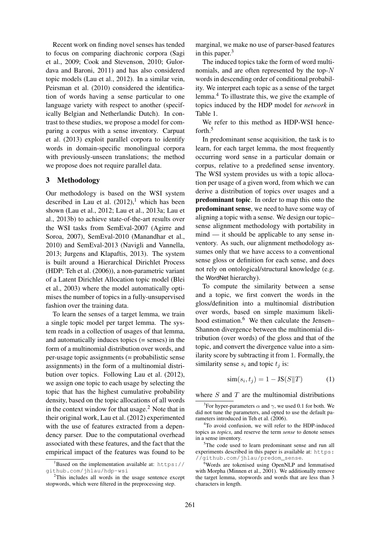Recent work on finding novel senses has tended to focus on comparing diachronic corpora (Sagi et al., 2009; Cook and Stevenson, 2010; Gulordava and Baroni, 2011) and has also considered topic models (Lau et al., 2012). In a similar vein, Peirsman et al. (2010) considered the identification of words having a sense particular to one language variety with respect to another (specifically Belgian and Netherlandic Dutch). In contrast to these studies, we propose a model for comparing a corpus with a sense inventory. Carpuat et al. (2013) exploit parallel corpora to identify words in domain-specific monolingual corpora with previously-unseen translations; the method we propose does not require parallel data.

# 3 Methodology

Our methodology is based on the WSI system described in Lau et al.  $(2012)$ , which has been shown (Lau et al., 2012; Lau et al., 2013a; Lau et al., 2013b) to achieve state-of-the-art results over the WSI tasks from SemEval-2007 (Agirre and Soroa, 2007), SemEval-2010 (Manandhar et al., 2010) and SemEval-2013 (Navigli and Vannella, 2013; Jurgens and Klapaftis, 2013). The system is built around a Hierarchical Dirichlet Process (HDP: Teh et al. (2006)), a non-parametric variant of a Latent Dirichlet Allocation topic model (Blei et al., 2003) where the model automatically optimises the number of topics in a fully-unsupervised fashion over the training data.

To learn the senses of a target lemma, we train a single topic model per target lemma. The system reads in a collection of usages of that lemma, and automatically induces topics (= senses) in the form of a multinomial distribution over words, and per-usage topic assignments (= probabilistic sense assignments) in the form of a multinomial distribution over topics. Following Lau et al. (2012), we assign one topic to each usage by selecting the topic that has the highest cumulative probability density, based on the topic allocations of all words in the context window for that usage.<sup>2</sup> Note that in their original work, Lau et al. (2012) experimented with the use of features extracted from a dependency parser. Due to the computational overhead associated with these features, and the fact that the empirical impact of the features was found to be

marginal, we make no use of parser-based features in this paper. $3$ 

The induced topics take the form of word multinomials, and are often represented by the top- $N$ words in descending order of conditional probability. We interpret each topic as a sense of the target lemma.<sup>4</sup> To illustrate this, we give the example of topics induced by the HDP model for *network* in Table 1.

We refer to this method as HDP-WSI henceforth.<sup>5</sup>

In predominant sense acquisition, the task is to learn, for each target lemma, the most frequently occurring word sense in a particular domain or corpus, relative to a predefined sense inventory. The WSI system provides us with a topic allocation per usage of a given word, from which we can derive a distribution of topics over usages and a predominant topic. In order to map this onto the predominant sense, we need to have some way of aligning a topic with a sense. We design our topic– sense alignment methodology with portability in mind — it should be applicable to any sense inventory. As such, our alignment methodology assumes only that we have access to a conventional sense gloss or definition for each sense, and does not rely on ontological/structural knowledge (e.g. the WordNet hierarchy).

To compute the similarity between a sense and a topic, we first convert the words in the gloss/definition into a multinomial distribution over words, based on simple maximum likelihood estimation.<sup>6</sup> We then calculate the Jensen– Shannon divergence between the multinomial distribution (over words) of the gloss and that of the topic, and convert the divergence value into a similarity score by subtracting it from 1. Formally, the similarity sense  $s_i$  and topic  $t_j$  is:

$$
\text{sim}(s_i, t_j) = 1 - \text{JS}(S||T) \tag{1}
$$

where  $S$  and  $T$  are the multinomial distributions

 ${}^{1}$ Based on the implementation available at: https:// github.com/jhlau/hdp-wsi

 $2$ This includes all words in the usage sentence except stopwords, which were filtered in the preprocessing step.

<sup>&</sup>lt;sup>3</sup>For hyper-parameters  $\alpha$  and  $\gamma$ , we used 0.1 for both. We did not tune the parameters, and opted to use the default parameters introduced in Teh et al. (2006).

<sup>&</sup>lt;sup>4</sup>To avoid confusion, we will refer to the HDP-induced topics as *topics*, and reserve the term *sense* to denote senses in a sense inventory.

<sup>&</sup>lt;sup>5</sup>The code used to learn predominant sense and run all experiments described in this paper is available at: https: //github.com/jhlau/predom\_sense.

<sup>&</sup>lt;sup>6</sup>Words are tokenised using OpenNLP and lemmatised with Morpha (Minnen et al., 2001). We additionally remove the target lemma, stopwords and words that are less than 3 characters in length.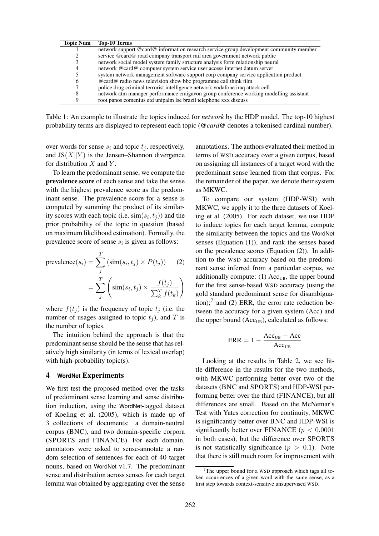| <b>Topic Num</b> | Top-10 Terms                                                                           |
|------------------|----------------------------------------------------------------------------------------|
|                  | network support @card@ information research service group development community member |
|                  | service @card@ road company transport rail area government network public              |
|                  | network social model system family structure analysis form relationship neural         |
| 4                | network @card@computer system service user access internet datum server                |
|                  | system network management software support corp company service application product    |
| b                | $@card@$ radio news television show bbc programme call think film                      |
|                  | police drug criminal terrorist intelligence network vodafone iraq attack cell          |
|                  | network atm manager performance craigavon group conference working modelling assistant |
|                  | root panos comenius etd unipalm lse brazil telephone xxx discuss                       |

Table 1: An example to illustrate the topics induced for *network* by the HDP model. The top-10 highest probability terms are displayed to represent each topic (*@card@* denotes a tokenised cardinal number).

over words for sense  $s_i$  and topic  $t_j$ , respectively, and  $JS(X||Y)$  is the Jensen–Shannon divergence for distribution  $X$  and  $Y$ .

To learn the predominant sense, we compute the prevalence score of each sense and take the sense with the highest prevalence score as the predominant sense. The prevalence score for a sense is computed by summing the product of its similarity scores with each topic (i.e.  $\text{sim}(s_i, t_j)$ ) and the prior probability of the topic in question (based on maximum likelihood estimation). Formally, the prevalence score of sense  $s_i$  is given as follows:

prevalence
$$
(s_i)
$$
 =  $\sum_{j}$  (sim $(s_i, t_j)$  ×  $P(t_j)$ ) (2)  
=  $\sum_{j}$   $\left(\text{sim}(s_i, t_j) \times \frac{f(t_j)}{\sum_{k}^{T} f(t_k)}\right)$ 

where  $f(t_j)$  is the frequency of topic  $t_j$  (i.e. the number of usages assigned to topic  $t_i$ ), and T is the number of topics.

The intuition behind the approach is that the predominant sense should be the sense that has relatively high similarity (in terms of lexical overlap) with high-probability topic(s).

# 4 **WordNet** Experiments

We first test the proposed method over the tasks of predominant sense learning and sense distribution induction, using the WordNet-tagged dataset of Koeling et al. (2005), which is made up of 3 collections of documents: a domain-neutral corpus (BNC), and two domain-specific corpora (SPORTS and FINANCE). For each domain, annotators were asked to sense-annotate a random selection of sentences for each of 40 target nouns, based on WordNet v1.7. The predominant sense and distribution across senses for each target lemma was obtained by aggregating over the sense annotations. The authors evaluated their method in terms of WSD accuracy over a given corpus, based on assigning all instances of a target word with the predominant sense learned from that corpus. For the remainder of the paper, we denote their system as MKWC.

To compare our system (HDP-WSI) with MKWC, we apply it to the three datasets of Koeling et al. (2005). For each dataset, we use HDP to induce topics for each target lemma, compute the similarity between the topics and the WordNet senses (Equation (1)), and rank the senses based on the prevalence scores (Equation (2)). In addition to the WSD accuracy based on the predominant sense inferred from a particular corpus, we additionally compute: (1)  $Acc<sub>UB</sub>$ , the upper bound for the first sense-based WSD accuracy (using the gold standard predominant sense for disambiguation); $7$  and (2) ERR, the error rate reduction between the accuracy for a given system (Acc) and the upper bound  $(Acc<sub>UB</sub>)$ , calculated as follows:

$$
ERR = 1 - \frac{Acc_{UB} - Acc}{Acc_{UB}}
$$

Looking at the results in Table 2, we see little difference in the results for the two methods, with MKWC performing better over two of the datasets (BNC and SPORTS) and HDP-WSI performing better over the third (FINANCE), but all differences are small. Based on the McNemar's Test with Yates correction for continuity, MKWC is significantly better over BNC and HDP-WSI is significantly better over FINANCE ( $p < 0.0001$ ) in both cases), but the difference over SPORTS is not statistically significance ( $p > 0.1$ ). Note that there is still much room for improvement with

The upper bound for a WSD approach which tags all token occurrences of a given word with the same sense, as a first step towards context-sensitive unsupervised WSD.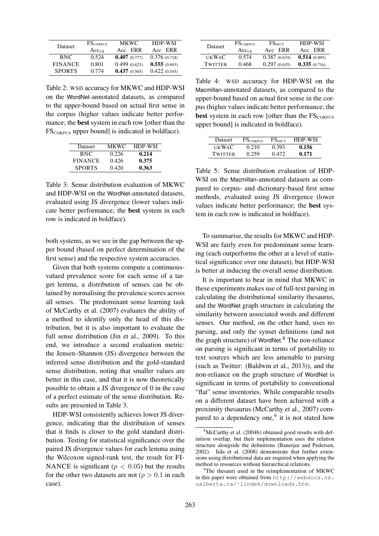| <b>Dataset</b> | $FS_{\text{CORPUS}}$ | <b>MKWC</b>  | HDP-WSI      |
|----------------|----------------------|--------------|--------------|
|                | Acc <sub>UB</sub>    | Acc ERR      | Acc ERR      |
| <b>BNC</b>     | 0.524                | 0.407(0.777) | 0.376(0.718) |
| <b>FINANCE</b> | 0.801                | 0.499(0.623) | 0.555(0.693) |
| <b>SPORTS</b>  | 0.774                | 0.437(0.565) | 0.422(0.545) |

Table 2: WSD accuracy for MKWC and HDP-WSI on the WordNet-annotated datasets, as compared to the upper-bound based on actual first sense in the corpus (higher values indicate better performance; the best system in each row [other than the  $FS<sub>CORPUS</sub>$  upper bound] is indicated in boldface).

| Dataset        | MKWC. | <b>HDP-WSI</b> |
|----------------|-------|----------------|
| BNC.           | 0.226 | 0.214          |
| <b>FINANCE</b> | 0.426 | 0.375          |
| <b>SPORTS</b>  | 0.420 | 0.363          |

Table 3: Sense distribution evaluation of MKWC and HDP-WSI on the WordNet-annotated datasets, evaluated using JS divergence (lower values indicate better performance; the best system in each row is indicated in boldface).

both systems, as we see in the gap between the upper bound (based on perfect determination of the first sense) and the respective system accuracies.

Given that both systems compute a continuousvalued prevalence score for each sense of a target lemma, a distribution of senses can be obtained by normalising the prevalence scores across all senses. The predominant sense learning task of McCarthy et al. (2007) evaluates the ability of a method to identify only the head of this distribution, but it is also important to evaluate the full sense distribution (Jin et al., 2009). To this end, we introduce a second evaluation metric: the Jensen–Shannon (JS) divergence between the inferred sense distribution and the gold-standard sense distribution, noting that smaller values are better in this case, and that it is now theoretically possible to obtain a JS divergence of 0 in the case of a perfect estimate of the sense distribution. Results are presented in Table 3.

HDP-WSI consistently achieves lower JS divergence, indicating that the distribution of senses that it finds is closer to the gold standard distribution. Testing for statistical significance over the paired JS divergence values for each lemma using the Wilcoxon signed-rank test, the result for FI-NANCE is significant ( $p < 0.05$ ) but the results for the other two datasets are not ( $p > 0.1$  in each case).

| <b>Dataset</b> | <b>FS</b> CORPUS  | $FS_{\rm DICT}$ | <b>HDP-WSI</b> |
|----------------|-------------------|-----------------|----------------|
|                | $Acc_{\text{IB}}$ | Acc ERR         | Acc ERR        |
| <b>UKWAC</b>   | 0.574             | 0.387(0.674)    | 0.514(0.895)   |
| <b>TWITTER</b> | 0.468             | 0.297(0.635)    | 0.335(0.716)   |

Table 4: WSD accuracy for HDP-WSI on the Macmillan-annotated datasets, as compared to the upper-bound based on actual first sense in the corpus (higher values indicate better performance; the **best** system in each row [other than the  $FS_{CORPIIS}$ upper bound] is indicated in boldface).

| <b>Dataset</b> | $FS_{\rm CORPIIS}$ | $FS_{\rm DICT}$ | HDP-WSI |
|----------------|--------------------|-----------------|---------|
| <b>UKWAC</b>   | 0.210              | 0.393           | 0.156   |
| TWITTER        | 0.259              | 0.472           | 0.171   |

Table 5: Sense distribution evaluation of HDP-WSI on the Macmillan-annotated datasets as compared to corpus- and dictionary-based first sense methods, evaluated using JS divergence (lower values indicate better performance; the best system in each row is indicated in boldface).

To summarise, the results for MKWC and HDP-WSI are fairly even for predominant sense learning (each outperforms the other at a level of statistical significance over one dataset), but HDP-WSI is better at inducing the overall sense distribution.

It is important to bear in mind that MKWC in these experiments makes use of full-text parsing in calculating the distributional similarity thesaurus, and the WordNet graph structure in calculating the similarity between associated words and different senses. Our method, on the other hand, uses no parsing, and only the synset definitions (and not the graph structure) of WordNet. <sup>8</sup> The non-reliance on parsing is significant in terms of portability to text sources which are less amenable to parsing (such as Twitter: (Baldwin et al., 2013)), and the non-reliance on the graph structure of WordNet is significant in terms of portability to conventional "flat" sense inventories. While comparable results on a different dataset have been achieved with a proximity thesaurus (McCarthy et al., 2007) compared to a dependency one, $9$  it is not stated how

 ${}^{8}$ McCarthy et al. (2004b) obtained good results with definition overlap, but their implementation uses the relation structure alongside the definitions (Banerjee and Pedersen, 2002). Iida et al. (2008) demonstrate that further extensions using distributional data are required when applying the method to resources without hierarchical relations.

<sup>&</sup>lt;sup>9</sup>The thesauri used in the reimplementation of MKWC in this paper were obtained from http://webdocs.cs. ualberta.ca/˜lindek/downloads.htm.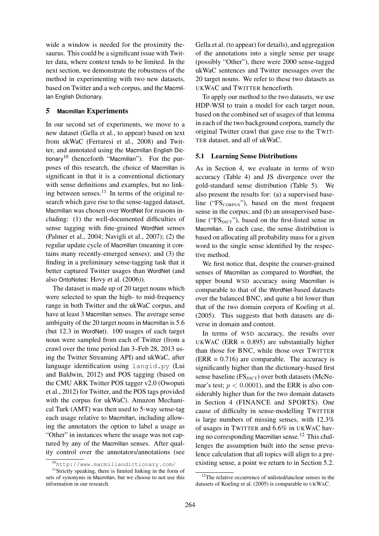wide a window is needed for the proximity thesaurus. This could be a significant issue with Twitter data, where context tends to be limited. In the next section, we demonstrate the robustness of the method in experimenting with two new datasets, based on Twitter and a web corpus, and the Macmillan English Dictionary.

# 5 **Macmillan** Experiments

In our second set of experiments, we move to a new dataset (Gella et al., to appear) based on text from ukWaC (Ferraresi et al., 2008) and Twitter, and annotated using the Macmillan English Dictionary<sup>10</sup> (henceforth "Macmillan"). For the purposes of this research, the choice of Macmillan is significant in that it is a conventional dictionary with sense definitions and examples, but no linking between senses. $^{11}$  In terms of the original research which gave rise to the sense-tagged dataset, Macmillan was chosen over WordNet for reasons including: (1) the well-documented difficulties of sense tagging with fine-grained WordNet senses (Palmer et al., 2004; Navigli et al., 2007); (2) the regular update cycle of Macmillan (meaning it contains many recently-emerged senses); and (3) the finding in a preliminary sense-tagging task that it better captured Twitter usages than WordNet (and also OntoNotes: Hovy et al. (2006)).

The dataset is made up of 20 target nouns which were selected to span the high- to mid-frequency range in both Twitter and the ukWaC corpus, and have at least 3 Macmillan senses. The average sense ambiguity of the 20 target nouns in Macmillan is 5.6 (but 12.3 in WordNet). 100 usages of each target noun were sampled from each of Twitter (from a crawl over the time period Jan 3–Feb 28, 2013 using the Twitter Streaming API) and ukWaC, after language identification using langid.py (Lui and Baldwin, 2012) and POS tagging (based on the CMU ARK Twitter POS tagger v2.0 (Owoputi et al., 2012) for Twitter, and the POS tags provided with the corpus for ukWaC). Amazon Mechanical Turk (AMT) was then used to 5-way sense-tag each usage relative to Macmillan, including allowing the annotators the option to label a usage as "Other" in instances where the usage was not captured by any of the Macmillan senses. After quality control over the annotators/annotations (see

Gella et al. (to appear) for details), and aggregation of the annotations into a single sense per usage (possibly "Other"), there were 2000 sense-tagged ukWaC sentences and Twitter messages over the 20 target nouns. We refer to these two datasets as UKWAC and TWITTER henceforth.

To apply our method to the two datasets, we use HDP-WSI to train a model for each target noun, based on the combined set of usages of that lemma in each of the two background corpora, namely the original Twitter crawl that gave rise to the TWIT-TER dataset, and all of ukWaC.

#### 5.1 Learning Sense Distributions

As in Section 4, we evaluate in terms of WSD accuracy (Table 4) and JS divergence over the gold-standard sense distribution (Table 5). We also present the results for: (a) a supervised baseline (" $FS<sub>CORPUS</sub>$ "), based on the most frequent sense in the corpus; and (b) an unsupervised baseline (" $FS<sub>DICT</sub>$ "), based on the first-listed sense in Macmillan. In each case, the sense distribution is based on allocating all probability mass for a given word to the single sense identified by the respective method.

We first notice that, despite the coarser-grained senses of Macmillan as compared to WordNet, the upper bound WSD accuracy using Macmillan is comparable to that of the WordNet-based datasets over the balanced BNC, and quite a bit lower than that of the two domain corpora of Koeling et al. (2005). This suggests that both datasets are diverse in domain and content.

In terms of WSD accuracy, the results over UKWAC (ERR =  $0.895$ ) are substantially higher than those for BNC, while those over TWITTER  $(ERR = 0.716)$  are comparable. The accuracy is significantly higher than the dictionary-based first sense baseline  $(FS<sub>DICT</sub>)$  over both datasets (McNemar's test;  $p < 0.0001$ ), and the ERR is also considerably higher than for the two domain datasets in Section 4 (FINANCE and SPORTS). One cause of difficulty in sense-modelling TWITTER is large numbers of missing senses, with 12.3% of usages in TWITTER and 6.6% in UKWAC having no corresponding Macmillan sense.<sup>12</sup> This challenges the assumption built into the sense prevalence calculation that all topics will align to a preexisting sense, a point we return to in Section 5.2.

<sup>10</sup>http://www.macmillandictionary.com/

<sup>&</sup>lt;sup>11</sup>Strictly speaking, there is limited linking in the form of sets of synonyms in Macmillan, but we choose to not use this information in our research.

 $12$ The relative occurrence of unlisted/unclear senses in the datasets of Koeling et al. (2005) is comparable to UKWAC.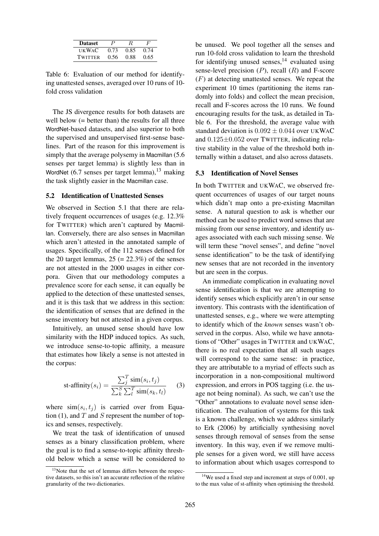| <b>Dataset</b> | P    | R.   | F    |
|----------------|------|------|------|
| <b>UKWAC</b>   | 0.73 | 0.85 | 0.74 |
| <b>TWITTER</b> | 0.56 | 0.88 | 0.65 |

Table 6: Evaluation of our method for identifying unattested senses, averaged over 10 runs of 10 fold cross validation

The JS divergence results for both datasets are well below (= better than) the results for all three WordNet-based datasets, and also superior to both the supervised and unsupervised first-sense baselines. Part of the reason for this improvement is simply that the average polysemy in Macmillan  $(5.6)$ senses per target lemma) is slightly less than in WordNet  $(6.7 \text{ senses per target lemma})$ ,<sup>13</sup> making the task slightly easier in the Macmillan case.

# 5.2 Identification of Unattested Senses

We observed in Section 5.1 that there are relatively frequent occurrences of usages (e.g. 12.3% for TWITTER) which aren't captured by Macmillan. Conversely, there are also senses in Macmillan which aren't attested in the annotated sample of usages. Specifically, of the 112 senses defined for the 20 target lemmas,  $25 (= 22.3\%)$  of the senses are not attested in the 2000 usages in either corpora. Given that our methodology computes a prevalence score for each sense, it can equally be applied to the detection of these unattested senses, and it is this task that we address in this section: the identification of senses that are defined in the sense inventory but not attested in a given corpus.

Intuitively, an unused sense should have low similarity with the HDP induced topics. As such, we introduce sense-to-topic affinity, a measure that estimates how likely a sense is not attested in the corpus:

st-affinity
$$
(s_i)
$$
 = 
$$
\frac{\sum_{j}^{T} \text{sim}(s_i, t_j)}{\sum_{k}^{S} \sum_{l}^{T} \text{sim}(s_k, t_l)}
$$
(3)

where  $\sin(s_i, t_j)$  is carried over from Equation (1), and  $T$  and  $S$  represent the number of topics and senses, respectively.

We treat the task of identification of unused senses as a binary classification problem, where the goal is to find a sense-to-topic affinity threshold below which a sense will be considered to be unused. We pool together all the senses and run 10-fold cross validation to learn the threshold for identifying unused senses,  $14$  evaluated using sense-level precision  $(P)$ , recall  $(R)$  and F-score  $(F)$  at detecting unattested senses. We repeat the experiment 10 times (partitioning the items randomly into folds) and collect the mean precision, recall and F-scores across the 10 runs. We found encouraging results for the task, as detailed in Table 6. For the threshold, the average value with standard deviation is  $0.092 \pm 0.044$  over UKWAC and 0.125±0.052 over TWITTER, indicating relative stability in the value of the threshold both internally within a dataset, and also across datasets.

# 5.3 Identification of Novel Senses

In both TWITTER and UKWAC, we observed frequent occurrences of usages of our target nouns which didn't map onto a pre-existing Macmillan sense. A natural question to ask is whether our method can be used to predict word senses that are missing from our sense inventory, and identify usages associated with each such missing sense. We will term these "novel senses", and define "novel sense identification" to be the task of identifying new senses that are not recorded in the inventory but are seen in the corpus.

An immediate complication in evaluating novel sense identification is that we are attempting to identify senses which explicitly aren't in our sense inventory. This contrasts with the identification of unattested senses, e.g., where we were attempting to identify which of the *known* senses wasn't observed in the corpus. Also, while we have annotations of "Other" usages in TWITTER and UKWAC, there is no real expectation that all such usages will correspond to the same sense: in practice, they are attributable to a myriad of effects such as incorporation in a non-compositional multiword expression, and errors in POS tagging (i.e. the usage not being nominal). As such, we can't use the "Other" annotations to evaluate novel sense identification. The evaluation of systems for this task is a known challenge, which we address similarly to Erk (2006) by artificially synthesising novel senses through removal of senses from the sense inventory. In this way, even if we remove multiple senses for a given word, we still have access to information about which usages correspond to

<sup>&</sup>lt;sup>13</sup>Note that the set of lemmas differs between the respective datasets, so this isn't an accurate reflection of the relative granularity of the two dictionaries.

<sup>&</sup>lt;sup>14</sup>We used a fixed step and increment at steps of 0.001, up to the max value of st-affinity when optimising the threshold.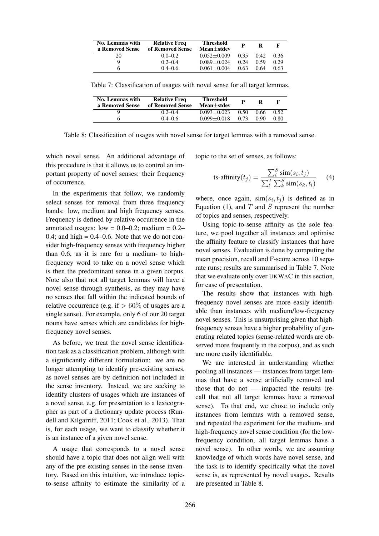| No. Lemmas with<br>a Removed Sense | <b>Relative Freq</b><br>of Removed Sense | <b>Threshold</b><br>$Mean \pm stdev$ | P    | R    |      |
|------------------------------------|------------------------------------------|--------------------------------------|------|------|------|
|                                    | $0.0 - 0.2$                              | $0.052 + 0.009$                      | 0.35 | 0.42 | 0.36 |
|                                    | $0.2 - 0.4$                              | $0.089 + 0.024$                      | 0.24 | 0.59 | 0.29 |
|                                    | $0.4 - 0.6$                              | $0.061 \pm 0.004$                    | 0.63 | 0.64 | 0.63 |

Table 7: Classification of usages with novel sense for all target lemmas.

| No. Lemmas with<br>a Removed Sense | <b>Relative Freq</b><br>of Removed Sense | <b>Threshold</b><br>Mean+stdev |      |      |      |
|------------------------------------|------------------------------------------|--------------------------------|------|------|------|
|                                    | $0.2 - 0.4$                              | $0.093 + 0.023$                | 0.50 | 0.66 | 0.52 |
|                                    | $0.4 - 0.6$                              | $0.099 \pm 0.018$              | 0.73 | 0.90 | 0.80 |

Table 8: Classification of usages with novel sense for target lemmas with a removed sense.

which novel sense. An additional advantage of this procedure is that it allows us to control an important property of novel senses: their frequency of occurrence.

In the experiments that follow, we randomly select senses for removal from three frequency bands: low, medium and high frequency senses. Frequency is defined by relative occurrence in the annotated usages: low =  $0.0-0.2$ ; medium =  $0.2-$ 0.4; and high  $= 0.4 - 0.6$ . Note that we do not consider high-frequency senses with frequency higher than 0.6, as it is rare for a medium- to highfrequency word to take on a novel sense which is then the predominant sense in a given corpus. Note also that not all target lemmas will have a novel sense through synthesis, as they may have no senses that fall within the indicated bounds of relative occurrence (e.g. if  $> 60\%$  of usages are a single sense). For example, only 6 of our 20 target nouns have senses which are candidates for highfrequency novel senses.

As before, we treat the novel sense identification task as a classification problem, although with a significantly different formulation: we are no longer attempting to identify pre-existing senses, as novel senses are by definition not included in the sense inventory. Instead, we are seeking to identify clusters of usages which are instances of a novel sense, e.g. for presentation to a lexicographer as part of a dictionary update process (Rundell and Kilgarriff, 2011; Cook et al., 2013). That is, for each usage, we want to classify whether it is an instance of a given novel sense.

A usage that corresponds to a novel sense should have a topic that does not align well with any of the pre-existing senses in the sense inventory. Based on this intuition, we introduce topicto-sense affinity to estimate the similarity of a topic to the set of senses, as follows:

ts-affinity
$$
(t_j)
$$
 = 
$$
\frac{\sum_{i}^{S} \text{sim}(s_i, t_j)}{\sum_{l}^{T} \sum_{k}^{S} \text{sim}(s_k, t_l)}
$$
(4)

where, once again,  $\text{sim}(s_i, t_j)$  is defined as in Equation (1), and  $T$  and  $S$  represent the number of topics and senses, respectively.

Using topic-to-sense affinity as the sole feature, we pool together all instances and optimise the affinity feature to classify instances that have novel senses. Evaluation is done by computing the mean precision, recall and F-score across 10 separate runs; results are summarised in Table 7. Note that we evaluate only over UKWAC in this section, for ease of presentation.

The results show that instances with highfrequency novel senses are more easily identifiable than instances with medium/low-frequency novel senses. This is unsurprising given that highfrequency senses have a higher probability of generating related topics (sense-related words are observed more frequently in the corpus), and as such are more easily identifiable.

We are interested in understanding whether pooling all instances — instances from target lemmas that have a sense artificially removed and those that do not — impacted the results (recall that not all target lemmas have a removed sense). To that end, we chose to include only instances from lemmas with a removed sense, and repeated the experiment for the medium- and high-frequency novel sense condition (for the lowfrequency condition, all target lemmas have a novel sense). In other words, we are assuming knowledge of which words have novel sense, and the task is to identify specifically what the novel sense is, as represented by novel usages. Results are presented in Table 8.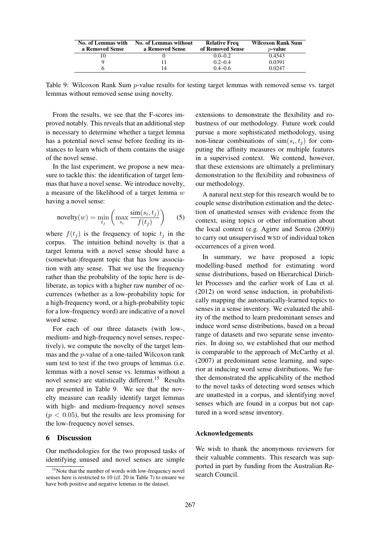| No. of Lemmas with | <b>No. of Lemmas without</b> | <b>Relative Freq</b> | <b>Wilcoxon Rank Sum</b> |
|--------------------|------------------------------|----------------------|--------------------------|
| a Removed Sense    | a Removed Sense              | of Removed Sense     | $p$ -value               |
|                    |                              | $0.0 - 0.2$          | 0.4543                   |
|                    |                              | $0.2 - 0.4$          | 0.0391                   |
|                    |                              | $0.4 - 0.6$          | 0.0247                   |

Table 9: Wilcoxon Rank Sum p-value results for testing target lemmas with removed sense vs. target lemmas without removed sense using novelty.

From the results, we see that the F-scores improved notably. This reveals that an additional step is necessary to determine whether a target lemma has a potential novel sense before feeding its instances to learn which of them contains the usage of the novel sense.

In the last experiment, we propose a new measure to tackle this: the identification of target lemmas that have a novel sense. We introduce novelty, a measure of the likelihood of a target lemma  $w$ having a novel sense:

novelty
$$
(w)
$$
 =  $\min_{t_j} \left( \max_{s_i} \frac{\text{sim}(s_i, t_j)}{f(t_j)} \right)$  (5)

where  $f(t_j)$  is the frequency of topic  $t_j$  in the corpus. The intuition behind novelty is that a target lemma with a novel sense should have a (somewhat-)frequent topic that has low association with any sense. That we use the frequency rather than the probability of the topic here is deliberate, as topics with a higher raw number of occurrences (whether as a low-probability topic for a high-frequency word, or a high-probability topic for a low-frequency word) are indicative of a novel word sense.

For each of our three datasets (with low-, medium- and high-frequency novel senses, respectively), we compute the novelty of the target lemmas and the p-value of a one-tailed Wilcoxon rank sum test to test if the two groups of lemmas (i.e. lemmas with a novel sense vs. lemmas without a novel sense) are statistically different.<sup>15</sup> Results are presented in Table 9. We see that the novelty measure can readily identify target lemmas with high- and medium-frequency novel senses  $(p < 0.05)$ , but the results are less promising for the low-frequency novel senses.

#### 6 Discussion

Our methodologies for the two proposed tasks of identifying unused and novel senses are simple extensions to demonstrate the flexibility and robustness of our methodology. Future work could pursue a more sophisticated methodology, using non-linear combinations of  $\text{sim}(s_i, t_j)$  for computing the affinity measures or multiple features in a supervised context. We contend, however, that these extensions are ultimately a preliminary demonstration to the flexibility and robustness of our methodology.

A natural next step for this research would be to couple sense distribution estimation and the detection of unattested senses with evidence from the context, using topics or other information about the local context (e.g. Agirre and Soroa (2009)) to carry out unsupervised WSD of individual token occurrences of a given word.

In summary, we have proposed a topic modelling-based method for estimating word sense distributions, based on Hierarchical Dirichlet Processes and the earlier work of Lau et al. (2012) on word sense induction, in probabilistically mapping the automatically-learned topics to senses in a sense inventory. We evaluated the ability of the method to learn predominant senses and induce word sense distributions, based on a broad range of datasets and two separate sense inventories. In doing so, we established that our method is comparable to the approach of McCarthy et al. (2007) at predominant sense learning, and superior at inducing word sense distributions. We further demonstrated the applicability of the method to the novel tasks of detecting word senses which are unattested in a corpus, and identifying novel senses which are found in a corpus but not captured in a word sense inventory.

#### Acknowledgements

We wish to thank the anonymous reviewers for their valuable comments. This research was supported in part by funding from the Australian Research Council.

<sup>&</sup>lt;sup>15</sup>Note that the number of words with low-frequency novel senses here is restricted to 10 (cf. 20 in Table 7) to ensure we have both positive and negative lemmas in the dataset.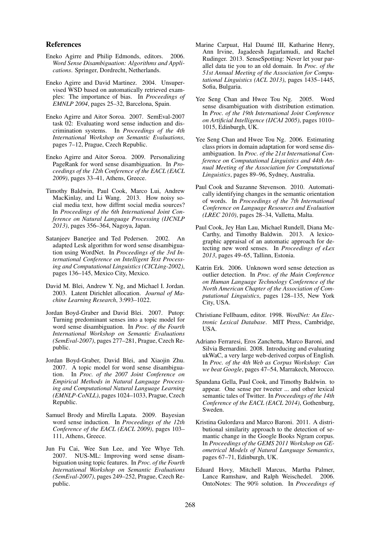## References

- Eneko Agirre and Philip Edmonds, editors. 2006. *Word Sense Disambiguation: Algorithms and Applications*. Springer, Dordrecht, Netherlands.
- Eneko Agirre and David Martinez. 2004. Unsupervised WSD based on automatically retrieved examples: The importance of bias. In *Proceedings of EMNLP 2004*, pages 25–32, Barcelona, Spain.
- Eneko Agirre and Aitor Soroa. 2007. SemEval-2007 task 02: Evaluating word sense induction and discrimination systems. In *Proceedings of the 4th International Workshop on Semantic Evaluations*, pages 7–12, Prague, Czech Republic.
- Eneko Agirre and Aitor Soroa. 2009. Personalizing PageRank for word sense disambiguation. In *Proceedings of the 12th Conference of the EACL (EACL 2009)*, pages 33–41, Athens, Greece.
- Timothy Baldwin, Paul Cook, Marco Lui, Andrew MacKinlay, and Li Wang. 2013. How noisy social media text, how diffrnt social media sources? In *Proceedings of the 6th International Joint Conference on Natural Language Processing (IJCNLP 2013)*, pages 356–364, Nagoya, Japan.
- Satanjeev Banerjee and Ted Pedersen. 2002. An adapted Lesk algorithm for word sense disambiguation using WordNet. In *Proceedings of the 3rd International Conference on Intelligent Text Processing and Computational Linguistics (CICLing-2002)*, pages 136–145, Mexico City, Mexico.
- David M. Blei, Andrew Y. Ng, and Michael I. Jordan. 2003. Latent Dirichlet allocation. *Journal of Machine Learning Research*, 3:993–1022.
- Jordan Boyd-Graber and David Blei. 2007. Putop: Turning predominant senses into a topic model for word sense disambiguation. In *Proc. of the Fourth International Workshop on Semantic Evaluations (SemEval-2007)*, pages 277–281, Prague, Czech Republic.
- Jordan Boyd-Graber, David Blei, and Xiaojin Zhu. 2007. A topic model for word sense disambiguation. In *Proc. of the 2007 Joint Conference on Empirical Methods in Natural Language Processing and Computational Natural Language Learning (EMNLP-CoNLL)*, pages 1024–1033, Prague, Czech Republic.
- Samuel Brody and Mirella Lapata. 2009. Bayesian word sense induction. In *Proceedings of the 12th Conference of the EACL (EACL 2009)*, pages 103– 111, Athens, Greece.
- Jun Fu Cai, Wee Sun Lee, and Yee Whye Teh. 2007. NUS-ML: Improving word sense disambiguation using topic features. In *Proc. of the Fourth International Workshop on Semantic Evaluations (SemEval-2007)*, pages 249–252, Prague, Czech Republic.
- Marine Carpuat, Hal Daumé III, Katharine Henry, Ann Irvine, Jagadeesh Jagarlamudi, and Rachel Rudinger. 2013. SenseSpotting: Never let your parallel data tie you to an old domain. In *Proc. of the 51st Annual Meeting of the Association for Computational Linguistics (ACL 2013)*, pages 1435–1445, Sofia, Bulgaria.
- Yee Seng Chan and Hwee Tou Ng. 2005. Word sense disambiguation with distribution estimation. In *Proc. of the 19th International Joint Conference on Artificial Intelligence (IJCAI 2005)*, pages 1010– 1015, Edinburgh, UK.
- Yee Seng Chan and Hwee Tou Ng. 2006. Estimating class priors in domain adaptation for word sense disambiguation. In *Proc. of the 21st International Conference on Computational Linguistics and 44th Annual Meeting of the Association for Computational Linguistics*, pages 89–96, Sydney, Australia.
- Paul Cook and Suzanne Stevenson. 2010. Automatically identifying changes in the semantic orientation of words. In *Proceedings of the 7th International Conference on Language Resources and Evaluation (LREC 2010)*, pages 28–34, Valletta, Malta.
- Paul Cook, Jey Han Lau, Michael Rundell, Diana Mc-Carthy, and Timothy Baldwin. 2013. A lexicographic appraisal of an automatic approach for detecting new word senses. In *Proceedings of eLex 2013*, pages 49–65, Tallinn, Estonia.
- Katrin Erk. 2006. Unknown word sense detection as outlier detection. In *Proc. of the Main Conference on Human Language Technology Conference of the North American Chapter of the Association of Computational Linguistics*, pages 128–135, New York City, USA.
- Christiane Fellbaum, editor. 1998. *WordNet: An Electronic Lexical Database*. MIT Press, Cambridge, USA.
- Adriano Ferraresi, Eros Zanchetta, Marco Baroni, and Silvia Bernardini. 2008. Introducing and evaluating ukWaC, a very large web-derived corpus of English. In *Proc. of the 4th Web as Corpus Workshop: Can we beat Google*, pages 47–54, Marrakech, Morocco.
- Spandana Gella, Paul Cook, and Timothy Baldwin. to appear. One sense per tweeter ... and other lexical semantic tales of Twitter. In *Proceedings of the 14th Conference of the EACL (EACL 2014)*, Gothenburg, Sweden.
- Kristina Gulordava and Marco Baroni. 2011. A distributional similarity approach to the detection of semantic change in the Google Books Ngram corpus. In *Proceedings of the GEMS 2011 Workshop on GEometrical Models of Natural Language Semantics*, pages 67–71, Edinburgh, UK.
- Eduard Hovy, Mitchell Marcus, Martha Palmer, Lance Ramshaw, and Ralph Weischedel. 2006. OntoNotes: The 90% solution. In *Proceedings of*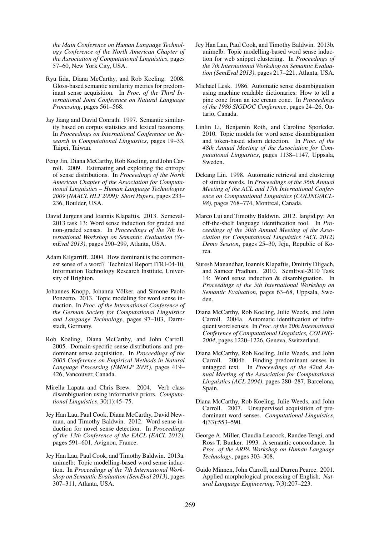*the Main Conference on Human Language Technology Conference of the North American Chapter of the Association of Computational Linguistics*, pages 57–60, New York City, USA.

- Ryu Iida, Diana McCarthy, and Rob Koeling. 2008. Gloss-based semantic similarity metrics for predominant sense acquisition. In *Proc. of the Third International Joint Conference on Natural Language Processing*, pages 561–568.
- Jay Jiang and David Conrath. 1997. Semantic similarity based on corpus statistics and lexical taxonomy. In *Proceedings on International Conference on Research in Computational Linguistics*, pages 19–33, Taipei, Taiwan.
- Peng Jin, Diana McCarthy, Rob Koeling, and John Carroll. 2009. Estimating and exploiting the entropy of sense distributions. In *Proceedings of the North American Chapter of the Association for Computational Linguistics – Human Language Technologies 2009 (NAACL HLT 2009): Short Papers*, pages 233– 236, Boulder, USA.
- David Jurgens and Ioannis Klapaftis. 2013. Semeval-2013 task 13: Word sense induction for graded and non-graded senses. In *Proceedings of the 7th International Workshop on Semantic Evaluation (SemEval 2013)*, pages 290–299, Atlanta, USA.
- Adam Kilgarriff. 2004. How dominant is the commonest sense of a word? Technical Report ITRI-04-10, Information Technology Research Institute, University of Brighton.
- Johannes Knopp, Johanna Völker, and Simone Paolo Ponzetto. 2013. Topic modeling for word sense induction. In *Proc. of the International Conference of the German Society for Computational Linguistics and Language Technology*, pages 97–103, Darmstadt, Germany.
- Rob Koeling, Diana McCarthy, and John Carroll. 2005. Domain-specific sense distributions and predominant sense acquisition. In *Proceedings of the 2005 Conference on Empirical Methods in Natural Language Processing (EMNLP 2005)*, pages 419– 426, Vancouver, Canada.
- Mirella Lapata and Chris Brew. 2004. Verb class disambiguation using informative priors. *Computational Linguistics*, 30(1):45–75.
- Jey Han Lau, Paul Cook, Diana McCarthy, David Newman, and Timothy Baldwin. 2012. Word sense induction for novel sense detection. In *Proceedings of the 13th Conference of the EACL (EACL 2012)*, pages 591–601, Avignon, France.
- Jey Han Lau, Paul Cook, and Timothy Baldwin. 2013a. unimelb: Topic modelling-based word sense induction. In *Proceedings of the 7th International Workshop on Semantic Evaluation (SemEval 2013)*, pages 307–311, Atlanta, USA.
- Jey Han Lau, Paul Cook, and Timothy Baldwin. 2013b. unimelb: Topic modelling-based word sense induction for web snippet clustering. In *Proceedings of the 7th International Workshop on Semantic Evaluation (SemEval 2013)*, pages 217–221, Atlanta, USA.
- Michael Lesk. 1986. Automatic sense disambiguation using machine readable dictionaries: How to tell a pine cone from an ice cream cone. In *Proceedings of the 1986 SIGDOC Conference*, pages 24–26, Ontario, Canada.
- Linlin Li, Benjamin Roth, and Caroline Sporleder. 2010. Topic models for word sense disambiguation and token-based idiom detection. In *Proc. of the 48th Annual Meeting of the Association for Computational Linguistics*, pages 1138–1147, Uppsala, Sweden.
- Dekang Lin. 1998. Automatic retrieval and clustering of similar words. In *Proceedings of the 36th Annual Meeting of the ACL and 17th International Conference on Computational Linguistics (COLING/ACL-98)*, pages 768–774, Montreal, Canada.
- Marco Lui and Timothy Baldwin. 2012. langid.py: An off-the-shelf language identification tool. In *Proceedings of the 50th Annual Meeting of the Association for Computational Linguistics (ACL 2012) Demo Session*, pages 25–30, Jeju, Republic of Korea.
- Suresh Manandhar, Ioannis Klapaftis, Dmitriy Dligach, and Sameer Pradhan. 2010. SemEval-2010 Task 14: Word sense induction & disambiguation. In *Proceedings of the 5th International Workshop on Semantic Evaluation*, pages 63–68, Uppsala, Sweden.
- Diana McCarthy, Rob Koeling, Julie Weeds, and John Carroll. 2004a. Automatic identification of infrequent word senses. In *Proc. of the 20th International Conference of Computational Linguistics, COLING-2004*, pages 1220–1226, Geneva, Switzerland.
- Diana McCarthy, Rob Koeling, Julie Weeds, and John Carroll. 2004b. Finding predominant senses in untagged text. In *Proceedings of the 42nd Annual Meeting of the Association for Computational Linguistics (ACL 2004)*, pages 280–287, Barcelona, Spain.
- Diana McCarthy, Rob Koeling, Julie Weeds, and John Carroll. 2007. Unsupervised acquisition of predominant word senses. *Computational Linguistics*, 4(33):553–590.
- George A. Miller, Claudia Leacock, Randee Tengi, and Ross T. Bunker. 1993. A semantic concordance. In *Proc. of the ARPA Workshop on Human Language Technology*, pages 303–308.
- Guido Minnen, John Carroll, and Darren Pearce. 2001. Applied morphological processing of English. *Natural Language Engineering*, 7(3):207–223.